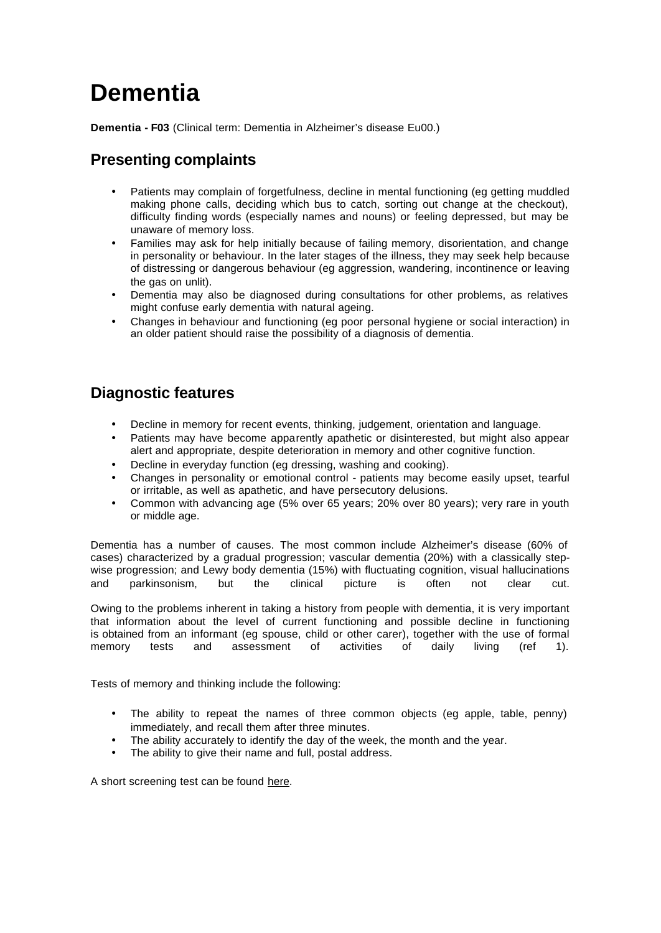# **Dementia**

**Dementia - F03** (Clinical term: Dementia in Alzheimer's disease Eu00.)

# **Presenting complaints**

- Patients may complain of forgetfulness, decline in mental functioning (eg getting muddled making phone calls, deciding which bus to catch, sorting out change at the checkout), difficulty finding words (especially names and nouns) or feeling depressed, but may be unaware of memory loss.
- Families may ask for help initially because of failing memory, disorientation, and change in personality or behaviour. In the later stages of the illness, they may seek help because of distressing or dangerous behaviour (eg aggression, wandering, incontinence or leaving the gas on unlit).
- Dementia may also be diagnosed during consultations for other problems, as relatives might confuse early dementia with natural ageing.
- Changes in behaviour and functioning (eg poor personal hygiene or social interaction) in an older patient should raise the possibility of a diagnosis of dementia.

# **Diagnostic features**

- Decline in memory for recent events, thinking, judgement, orientation and language.
- Patients may have become apparently apathetic or disinterested, but might also appear alert and appropriate, despite deterioration in memory and other cognitive function.
- Decline in everyday function (eg dressing, washing and cooking).
- Changes in personality or emotional control patients may become easily upset, tearful or irritable, as well as apathetic, and have persecutory delusions.
- Common with advancing age (5% over 65 years; 20% over 80 years); very rare in youth or middle age.

Dementia has a number of causes. The most common include Alzheimer's disease (60% of cases) characterized by a gradual progression; vascular dementia (20%) with a classically stepwise progression; and Lewy body dementia (15%) with fluctuating cognition, visual hallucinations and parkinsonism, but the clinical picture is often not clear cut.

Owing to the problems inherent in taking a history from people with dementia, it is very important that information about the level of current functioning and possible decline in functioning is obtained from an informant (eg spouse, child or other carer), together with the use of formal memory tests and assessment of activities of daily living (ref 1).

Tests of memory and thinking include the following:

- The ability to repeat the names of three common objects (eg apple, table, penny) immediately, and recall them after three minutes.
- The ability accurately to identify the day of the week, the month and the year.
- The ability to give their name and full, postal address.

A short screening test can be found here.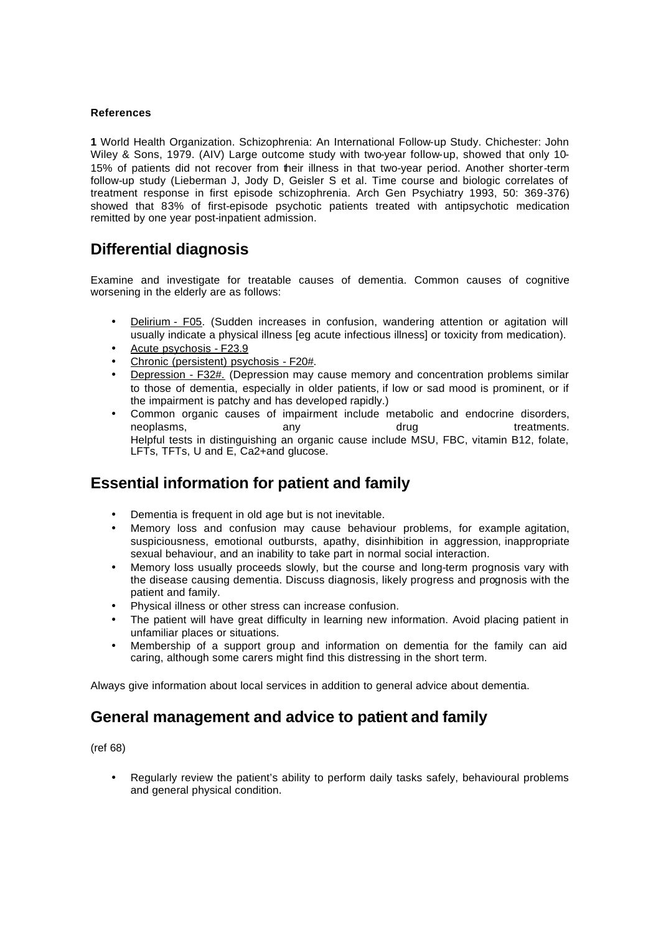#### **References**

**1** World Health Organization. Schizophrenia: An International Follow-up Study. Chichester: John Wiley & Sons, 1979. (AIV) Large outcome study with two-year follow-up, showed that only 10- 15% of patients did not recover from their illness in that two-year period. Another shorter-term follow-up study (Lieberman J, Jody D, Geisler S et al. Time course and biologic correlates of treatment response in first episode schizophrenia. Arch Gen Psychiatry 1993, 50: 369-376) showed that 83% of first-episode psychotic patients treated with antipsychotic medication remitted by one year post-inpatient admission.

# **Differential diagnosis**

Examine and investigate for treatable causes of dementia. Common causes of cognitive worsening in the elderly are as follows:

- Delirium F05. (Sudden increases in confusion, wandering attention or agitation will usually indicate a physical illness [eg acute infectious illness] or toxicity from medication).
- Acute psychosis F23.9
- Chronic (persistent) psychosis F20#.
- Depression F32#. (Depression may cause memory and concentration problems similar to those of dementia, especially in older patients, if low or sad mood is prominent, or if the impairment is patchy and has developed rapidly.)
- Common organic causes of impairment include metabolic and endocrine disorders, neoplasms, any any drug treatments. Helpful tests in distinguishing an organic cause include MSU, FBC, vitamin B12, folate, LFTs, TFTs, U and E, Ca2+and glucose.

### **Essential information for patient and family**

- Dementia is frequent in old age but is not inevitable.
- Memory loss and confusion may cause behaviour problems, for example agitation, suspiciousness, emotional outbursts, apathy, disinhibition in aggression, inappropriate sexual behaviour, and an inability to take part in normal social interaction.
- Memory loss usually proceeds slowly, but the course and long-term prognosis vary with the disease causing dementia. Discuss diagnosis, likely progress and prognosis with the patient and family.
- Physical illness or other stress can increase confusion.
- The patient will have great difficulty in learning new information. Avoid placing patient in unfamiliar places or situations.
- Membership of a support group and information on dementia for the family can aid caring, although some carers might find this distressing in the short term.

Always give information about local services in addition to general advice about dementia.

### **General management and advice to patient and family**

(ref 68)

• Regularly review the patient's ability to perform daily tasks safely, behavioural problems and general physical condition.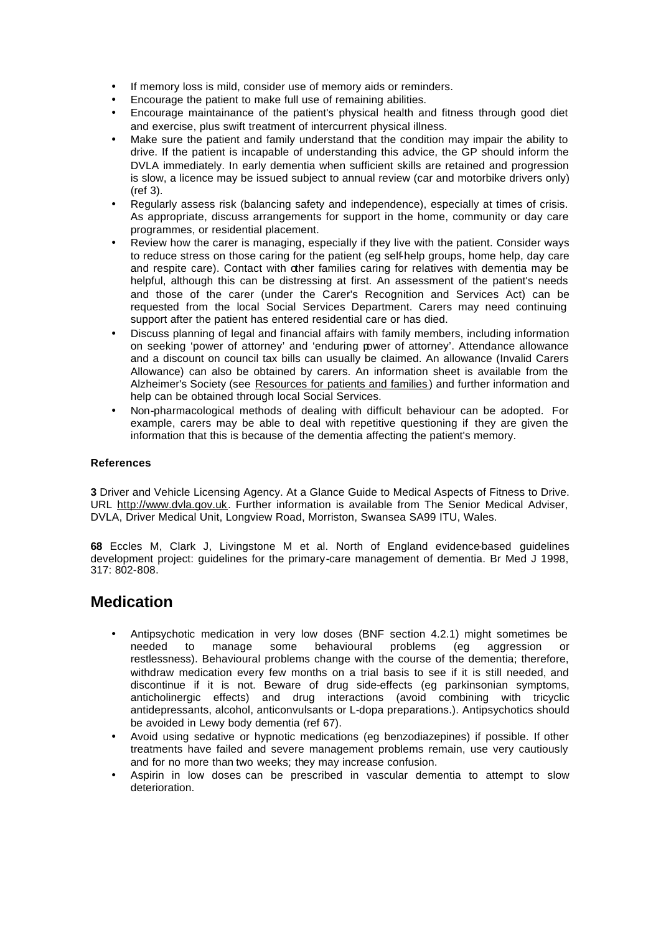- If memory loss is mild, consider use of memory aids or reminders.
- Encourage the patient to make full use of remaining abilities.
- Encourage maintainance of the patient's physical health and fitness through good diet and exercise, plus swift treatment of intercurrent physical illness.
- Make sure the patient and family understand that the condition may impair the ability to drive. If the patient is incapable of understanding this advice, the GP should inform the DVLA immediately. In early dementia when sufficient skills are retained and progression is slow, a licence may be issued subject to annual review (car and motorbike drivers only) (ref 3).
- Regularly assess risk (balancing safety and independence), especially at times of crisis. As appropriate, discuss arrangements for support in the home, community or day care programmes, or residential placement.
- Review how the carer is managing, especially if they live with the patient. Consider ways to reduce stress on those caring for the patient (eg self-help groups, home help, day care and respite care). Contact with other families caring for relatives with dementia may be helpful, although this can be distressing at first. An assessment of the patient's needs and those of the carer (under the Carer's Recognition and Services Act) can be requested from the local Social Services Department. Carers may need continuing support after the patient has entered residential care or has died.
- Discuss planning of legal and financial affairs with family members, including information on seeking 'power of attorney' and 'enduring power of attorney'. Attendance allowance and a discount on council tax bills can usually be claimed. An allowance (Invalid Carers Allowance) can also be obtained by carers. An information sheet is available from the Alzheimer's Society (see Resources for patients and families ) and further information and help can be obtained through local Social Services.
- Non-pharmacological methods of dealing with difficult behaviour can be adopted. For example, carers may be able to deal with repetitive questioning if they are given the information that this is because of the dementia affecting the patient's memory.

### **References**

**3** Driver and Vehicle Licensing Agency. At a Glance Guide to Medical Aspects of Fitness to Drive. URL http://www.dvla.gov.uk. Further information is available from The Senior Medical Adviser, DVLA, Driver Medical Unit, Longview Road, Morriston, Swansea SA99 ITU, Wales.

**68** Eccles M, Clark J, Livingstone M et al. North of England evidence-based guidelines development project: guidelines for the primary-care management of dementia. Br Med J 1998, 317: 802-808.

### **Medication**

- Antipsychotic medication in very low doses (BNF section 4.2.1) might sometimes be needed to manage some behavioural problems (eg aggression or restlessness). Behavioural problems change with the course of the dementia; therefore, withdraw medication every few months on a trial basis to see if it is still needed, and discontinue if it is not. Beware of drug side-effects (eg parkinsonian symptoms, anticholinergic effects) and drug interactions (avoid combining with tricyclic antidepressants, alcohol, anticonvulsants or L-dopa preparations.). Antipsychotics should be avoided in Lewy body dementia (ref 67).
- Avoid using sedative or hypnotic medications (eg benzodiazepines) if possible. If other treatments have failed and severe management problems remain, use very cautiously and for no more than two weeks; they may increase confusion.
- Aspirin in low doses can be prescribed in vascular dementia to attempt to slow deterioration.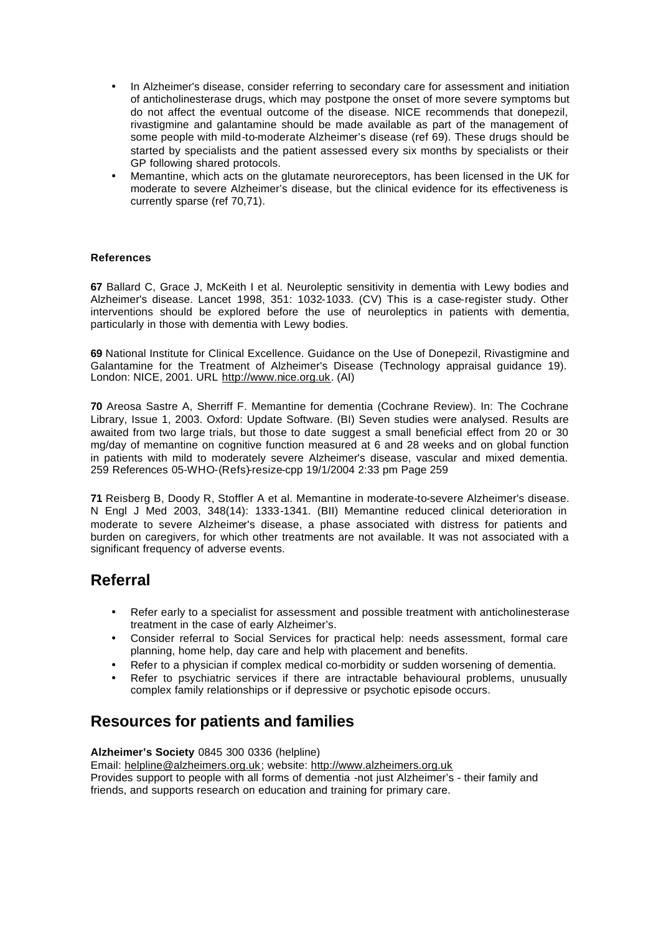- In Alzheimer's disease, consider referring to secondary care for assessment and initiation of anticholinesterase drugs, which may postpone the onset of more severe symptoms but do not affect the eventual outcome of the disease. NICE recommends that donepezil, rivastigmine and galantamine should be made available as part of the management of some people with mild-to-moderate Alzheimer's disease (ref 69). These drugs should be started by specialists and the patient assessed every six months by specialists or their GP following shared protocols.
- Memantine, which acts on the glutamate neuroreceptors, has been licensed in the UK for moderate to severe Alzheimer's disease, but the clinical evidence for its effectiveness is currently sparse (ref 70,71).

### **References**

**67** Ballard C, Grace J, McKeith I et al. Neuroleptic sensitivity in dementia with Lewy bodies and Alzheimer's disease. Lancet 1998, 351: 1032-1033. (CV) This is a case-register study. Other interventions should be explored before the use of neuroleptics in patients with dementia, particularly in those with dementia with Lewy bodies.

**69** National Institute for Clinical Excellence. Guidance on the Use of Donepezil, Rivastigmine and Galantamine for the Treatment of Alzheimer's Disease (Technology appraisal guidance 19). London: NICE, 2001. URL http://www.nice.org.uk. (AI)

**70** Areosa Sastre A, Sherriff F. Memantine for dementia (Cochrane Review). In: The Cochrane Library, Issue 1, 2003. Oxford: Update Software. (BI) Seven studies were analysed. Results are awaited from two large trials, but those to date suggest a small beneficial effect from 20 or 30 mg/day of memantine on cognitive function measured at 6 and 28 weeks and on global function in patients with mild to moderately severe Alzheimer's disease, vascular and mixed dementia. 259 References 05-WHO-(Refs)-resize-cpp 19/1/2004 2:33 pm Page 259

**71** Reisberg B, Doody R, Stoffler A et al. Memantine in moderate-to-severe Alzheimer's disease. N Engl J Med 2003, 348(14): 1333-1341. (BII) Memantine reduced clinical deterioration in moderate to severe Alzheimer's disease, a phase associated with distress for patients and burden on caregivers, for which other treatments are not available. It was not associated with a significant frequency of adverse events.

### **Referral**

- Refer early to a specialist for assessment and possible treatment with anticholinesterase treatment in the case of early Alzheimer's.
- Consider referral to Social Services for practical help: needs assessment, formal care planning, home help, day care and help with placement and benefits.
- Refer to a physician if complex medical co-morbidity or sudden worsening of dementia.
- Refer to psychiatric services if there are intractable behavioural problems, unusually complex family relationships or if depressive or psychotic episode occurs.

### **Resources for patients and families**

**Alzheimer's Society** 0845 300 0336 (helpline)

Email: helpline@alzheimers.org.uk; website: http://www.alzheimers.org.uk

Provides support to people with all forms of dementia -not just Alzheimer's - their family and friends, and supports research on education and training for primary care.